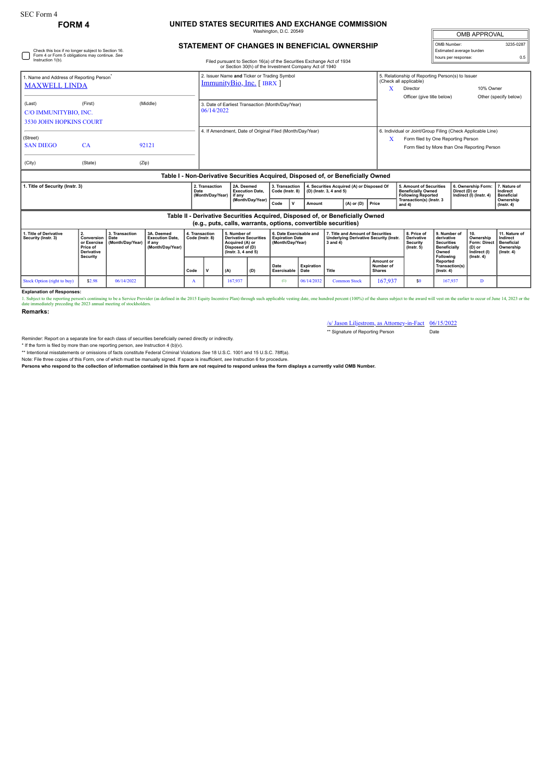## **FORM 4 UNITED STATES SECURITIES AND EXCHANGE COMMISSION** Washington, D.C. 20549

| OMB APPROVAL             |           |  |  |  |  |  |  |  |  |  |
|--------------------------|-----------|--|--|--|--|--|--|--|--|--|
| OMB Number:              | 3235-0287 |  |  |  |  |  |  |  |  |  |
| Estimated average burden |           |  |  |  |  |  |  |  |  |  |
| hours per response:      | ሰ 5       |  |  |  |  |  |  |  |  |  |

## **STATEMENT OF CHANGES IN BENEFICIAL OWNERSHIP**

| Check this box if no longer subject to Section 16.<br>Form 4 or Form 5 obligations may continue. See<br>Instruction 1(b). |                                                                              | Filed pursuant to Section 16(a) of the Securities Exchange Act of 1934 |                                                                            |                                   |                                                                         |                                                                                                           |                                      |                                                                       |                                                                                                           | Estimated average burden<br>hours per response:                                                | 0.5                                     |                                                                                    |                                                                                              |                                                                   |                                                                                 |  |
|---------------------------------------------------------------------------------------------------------------------------|------------------------------------------------------------------------------|------------------------------------------------------------------------|----------------------------------------------------------------------------|-----------------------------------|-------------------------------------------------------------------------|-----------------------------------------------------------------------------------------------------------|--------------------------------------|-----------------------------------------------------------------------|-----------------------------------------------------------------------------------------------------------|------------------------------------------------------------------------------------------------|-----------------------------------------|------------------------------------------------------------------------------------|----------------------------------------------------------------------------------------------|-------------------------------------------------------------------|---------------------------------------------------------------------------------|--|
|                                                                                                                           |                                                                              |                                                                        |                                                                            |                                   |                                                                         |                                                                                                           |                                      |                                                                       | or Section 30(h) of the Investment Company Act of 1940                                                    |                                                                                                |                                         |                                                                                    |                                                                                              |                                                                   |                                                                                 |  |
| 1. Name and Address of Reporting Person <sup>®</sup>                                                                      |                                                                              |                                                                        |                                                                            |                                   | 2. Issuer Name and Ticker or Trading Symbol<br>ImmunityBio, Inc. [IBRX] |                                                                                                           |                                      |                                                                       |                                                                                                           |                                                                                                |                                         | 5. Relationship of Reporting Person(s) to Issuer<br>(Check all applicable)         |                                                                                              |                                                                   |                                                                                 |  |
| <b>MAXWELL LINDA</b>                                                                                                      |                                                                              |                                                                        |                                                                            |                                   |                                                                         |                                                                                                           |                                      |                                                                       |                                                                                                           |                                                                                                | x                                       | Director                                                                           |                                                                                              | 10% Owner                                                         |                                                                                 |  |
|                                                                                                                           |                                                                              |                                                                        |                                                                            |                                   |                                                                         |                                                                                                           |                                      |                                                                       |                                                                                                           |                                                                                                |                                         | Officer (give title below)                                                         |                                                                                              |                                                                   | Other (specify below)                                                           |  |
| (Last)                                                                                                                    | (First)                                                                      |                                                                        | (Middle)<br>3. Date of Earliest Transaction (Month/Day/Year)<br>06/14/2022 |                                   |                                                                         |                                                                                                           |                                      |                                                                       |                                                                                                           |                                                                                                |                                         |                                                                                    |                                                                                              |                                                                   |                                                                                 |  |
| C/O IMMUNITYBIO, INC.                                                                                                     |                                                                              |                                                                        |                                                                            |                                   |                                                                         |                                                                                                           |                                      |                                                                       |                                                                                                           |                                                                                                |                                         |                                                                                    |                                                                                              |                                                                   |                                                                                 |  |
| <b>3530 JOHN HOPKINS COURT</b>                                                                                            |                                                                              |                                                                        |                                                                            |                                   |                                                                         |                                                                                                           |                                      |                                                                       |                                                                                                           |                                                                                                |                                         |                                                                                    |                                                                                              |                                                                   |                                                                                 |  |
| (Street)                                                                                                                  |                                                                              |                                                                        |                                                                            |                                   |                                                                         | 4. If Amendment, Date of Original Filed (Month/Day/Year)                                                  |                                      |                                                                       |                                                                                                           |                                                                                                |                                         | 6. Individual or Joint/Group Filing (Check Applicable Line)                        |                                                                                              |                                                                   |                                                                                 |  |
| <b>SAN DIEGO</b>                                                                                                          | CA                                                                           |                                                                        | 92121                                                                      |                                   |                                                                         |                                                                                                           |                                      |                                                                       |                                                                                                           |                                                                                                | x                                       | Form filed by One Reporting Person<br>Form filed by More than One Reporting Person |                                                                                              |                                                                   |                                                                                 |  |
|                                                                                                                           |                                                                              |                                                                        |                                                                            |                                   |                                                                         |                                                                                                           |                                      |                                                                       |                                                                                                           |                                                                                                |                                         |                                                                                    |                                                                                              |                                                                   |                                                                                 |  |
| (City)                                                                                                                    | (State)                                                                      | (Zip)                                                                  |                                                                            |                                   |                                                                         |                                                                                                           |                                      |                                                                       |                                                                                                           |                                                                                                |                                         |                                                                                    |                                                                                              |                                                                   |                                                                                 |  |
|                                                                                                                           |                                                                              |                                                                        |                                                                            |                                   |                                                                         |                                                                                                           |                                      |                                                                       |                                                                                                           | Table I - Non-Derivative Securities Acquired, Disposed of, or Beneficially Owned               |                                         |                                                                                    |                                                                                              |                                                                   |                                                                                 |  |
| 1. Title of Security (Instr. 3)<br>Date                                                                                   |                                                                              |                                                                        |                                                                            |                                   | 2. Transaction<br>(Month/Day/Year)                                      | l if anv                                                                                                  | 2A. Deemed<br><b>Execution Date.</b> |                                                                       | 3. Transaction<br>4. Securities Acquired (A) or Disposed Of<br>Code (Instr. 8)<br>(D) (Instr. 3, 4 and 5) |                                                                                                |                                         | 5. Amount of Securities<br><b>Beneficially Owned</b><br><b>Following Reported</b>  |                                                                                              | 6. Ownership Form:<br>Direct (D) or<br>Indirect (I) (Instr. 4)    | 7. Nature of<br>Indirect<br><b>Beneficial</b>                                   |  |
|                                                                                                                           |                                                                              |                                                                        |                                                                            |                                   |                                                                         | (Month/Day/Year)<br>Code                                                                                  |                                      | Amount                                                                | $(A)$ or $(D)$                                                                                            | Price                                                                                          | Transaction(s) (Instr. 3<br>and $4$ )   |                                                                                    |                                                                                              | Ownership<br>$($ Instr. 4 $)$                                     |                                                                                 |  |
| Table II - Derivative Securities Acquired, Disposed of, or Beneficially Owned                                             |                                                                              |                                                                        |                                                                            |                                   |                                                                         |                                                                                                           |                                      |                                                                       |                                                                                                           |                                                                                                |                                         |                                                                                    |                                                                                              |                                                                   |                                                                                 |  |
|                                                                                                                           |                                                                              |                                                                        |                                                                            |                                   |                                                                         |                                                                                                           |                                      |                                                                       |                                                                                                           | (e.g., puts, calls, warrants, options, convertible securities)                                 |                                         |                                                                                    |                                                                                              |                                                                   |                                                                                 |  |
| 1. Title of Derivative<br>Security (Instr. 3)                                                                             | 2.<br>Conversion<br>or Exercise<br>Price of<br><b>Derivative</b><br>Security | 3. Transaction<br>Date<br>(Month/Day/Year)                             | 3A. Deemed<br><b>Execution Date,</b><br>if anv<br>(Month/Day/Year)         | 4. Transaction<br>Code (Instr. 8) |                                                                         | 5. Number of<br><b>Derivative Securities</b><br>Acquired (A) or<br>Disposed of (D)<br>(Instr. 3, 4 and 5) |                                      | 6. Date Exercisable and<br><b>Expiration Date</b><br>(Month/Day/Year) |                                                                                                           | 7. Title and Amount of Securities<br><b>Underlying Derivative Security (Instr.</b><br>3 and 4) |                                         | 8. Price of<br><b>Derivative</b><br>Security<br>$($ lnstr. 5 $)$                   | 9. Number of<br>derivative<br><b>Securities</b><br><b>Beneficially</b><br>Owned<br>Following | 10.<br>Ownership<br><b>Form: Direct</b><br>(D) or<br>Indirect (I) | 11. Nature of<br>Indirect<br><b>Beneficial</b><br>Ownership<br>$($ lnstr. 4 $)$ |  |
|                                                                                                                           |                                                                              |                                                                        |                                                                            | Code                              |                                                                         | (A)<br>(D)                                                                                                |                                      | Date<br>Exercisable                                                   | Expiration<br>Date                                                                                        | Title                                                                                          | Amount or<br>Number of<br><b>Shares</b> |                                                                                    | Reported<br>Transaction(s)<br>$($ lnstr. 4 $)$                                               | $($ Instr. 4 $)$                                                  |                                                                                 |  |

**Explanation of Responses:**

1. Subject to the reporting person's continuing to be a Service Provider (as defined in the 2015 Equity Incentive Plan) through such applicable vesting date, one hundred percent (100%) of the shares subject to the award wi

Stock Option (right to buy) \$2.98 06/14/2022 A 167,937 (1) 06/14/2032 Common Stock 167,937 \$0 167,937 D

**Remarks:**

/s/ Jason Liljestrom, as Attorney-in-Fact 06/15/2022 \*\* Signature of Reporting Person Date

Reminder: Report on a separate line for each class of securities beneficially owned directly or indirectly.

\* If the form is filed by more than one reporting person, see Instruction 4 (b)(v).<br>\*\* Intentional misstatements or omissions of facts constitute Federal Criminal Violations See 18 U.S.C. 1001 and 15 U.S.C. 78ff(a).

Note: File three copies of this Form, one of which must be manually signed. If space is insufficient, *see* Instruction 6 for procedure.

**Persons who respond to the collection of information contained in this form are not required to respond unless the form displays a currently valid OMB Number.**